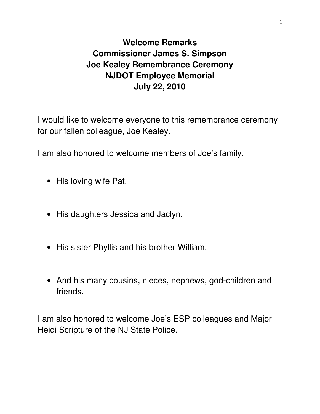## **Welcome Remarks Commissioner James S. Simpson Joe Kealey Remembrance Ceremony NJDOT Employee Memorial July 22, 2010**

I would like to welcome everyone to this remembrance ceremony for our fallen colleague, Joe Kealey.

I am also honored to welcome members of Joe's family.

- His loving wife Pat.
- His daughters Jessica and Jaclyn.
- His sister Phyllis and his brother William.
- And his many cousins, nieces, nephews, god-children and friends.

I am also honored to welcome Joe's ESP colleagues and Major Heidi Scripture of the NJ State Police.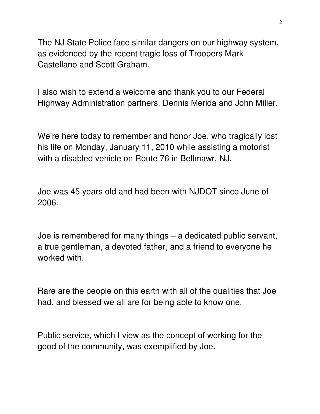The NJ State Police face similar dangers on our highway system, as evidenced by the recent tragic loss of Troopers Mark Castellano and Scott Graham.

I also wish to extend a welcome and thank you to our Federal Highway Administration partners, Dennis Merida and John Miller.

We're here today to remember and honor Joe, who tragically lost his life on Monday, January 11, 2010 while assisting a motorist with a disabled vehicle on Route 76 in Bellmawr, NJ.

Joe was 45 years old and had been with NJDOT since June of 2006.

Joe is remembered for many things – a dedicated public servant, a true gentleman, a devoted father, and a friend to everyone he worked with.

Rare are the people on this earth with all of the qualities that Joe had, and blessed we all are for being able to know one.

Public service, which I view as the concept of working for the good of the community, was exemplified by Joe.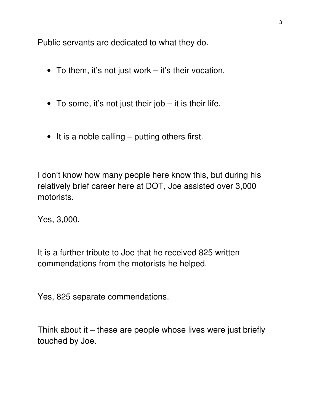Public servants are dedicated to what they do.

- To them, it's not just work it's their vocation.
- To some, it's not just their job it is their life.
- It is a noble calling putting others first.

I don't know how many people here know this, but during his relatively brief career here at DOT, Joe assisted over 3,000 motorists.

Yes, 3,000.

It is a further tribute to Joe that he received 825 written commendations from the motorists he helped.

Yes, 825 separate commendations.

Think about it  $-$  these are people whose lives were just briefly touched by Joe.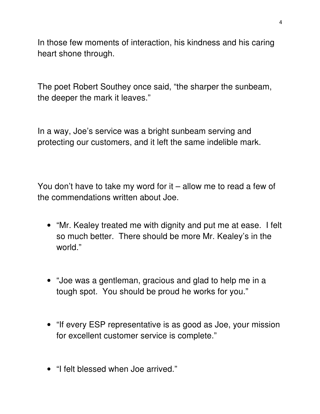In those few moments of interaction, his kindness and his caring heart shone through.

The poet Robert Southey once said, "the sharper the sunbeam, the deeper the mark it leaves."

In a way, Joe's service was a bright sunbeam serving and protecting our customers, and it left the same indelible mark.

You don't have to take my word for it – allow me to read a few of the commendations written about Joe.

- "Mr. Kealey treated me with dignity and put me at ease. I felt so much better. There should be more Mr. Kealey's in the world."
- "Joe was a gentleman, gracious and glad to help me in a tough spot. You should be proud he works for you."
- "If every ESP representative is as good as Joe, your mission for excellent customer service is complete."
- "I felt blessed when Joe arrived."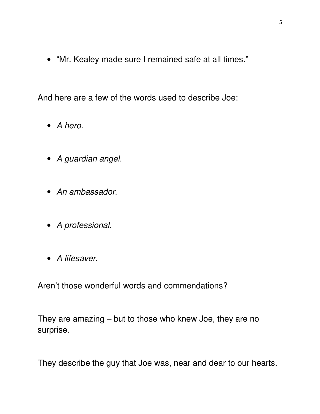• "Mr. Kealey made sure I remained safe at all times."

And here are a few of the words used to describe Joe:

- A hero.
- A guardian angel.
- An ambassador.
- A professional.
- A lifesaver.

Aren't those wonderful words and commendations?

They are amazing – but to those who knew Joe, they are no surprise.

They describe the guy that Joe was, near and dear to our hearts.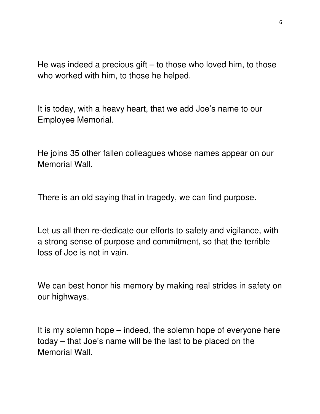He was indeed a precious gift  $-$  to those who loved him, to those who worked with him, to those he helped.

It is today, with a heavy heart, that we add Joe's name to our Employee Memorial.

He joins 35 other fallen colleagues whose names appear on our Memorial Wall.

There is an old saying that in tragedy, we can find purpose.

Let us all then re-dedicate our efforts to safety and vigilance, with a strong sense of purpose and commitment, so that the terrible loss of Joe is not in vain.

We can best honor his memory by making real strides in safety on our highways.

It is my solemn hope – indeed, the solemn hope of everyone here today – that Joe's name will be the last to be placed on the Memorial Wall.